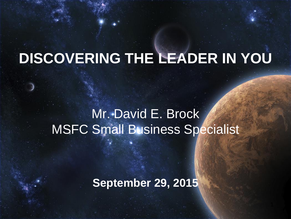# **DISCOVERING THE LEADER IN YOU**

#### Mr. David E. Brock MSFC Small Business Specialist

#### **September 29, 2015**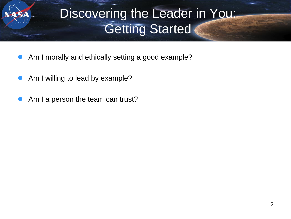## Discovering the Leader in You: Getting Started

- Am I morally and ethically setting a good example?
- Am I willing to lead by example?
- Am I a person the team can trust?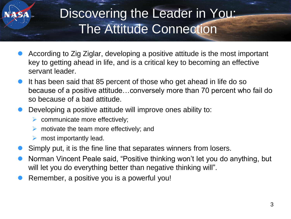## Discovering the Leader in You: The Attitude Connection

- According to Zig Ziglar, developing a positive attitude is the most important key to getting ahead in life, and is a critical key to becoming an effective servant leader.
- It has been said that 85 percent of those who get ahead in life do so because of a positive attitude…conversely more than 70 percent who fail do so because of a bad attitude.
- Developing a positive attitude will improve ones ability to:
	- $\triangleright$  communicate more effectively;
	- $\triangleright$  motivate the team more effectively; and
	- $\triangleright$  most importantly lead.
- Simply put, it is the fine line that separates winners from losers.
- Norman Vincent Peale said, "Positive thinking won't let you do anything, but will let you do everything better than negative thinking will".
- Remember, a positive you is a powerful you!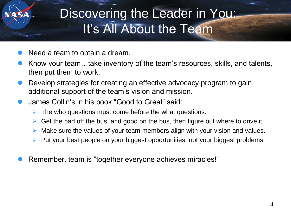## Discovering the Leader in You: It's All About the Team

- Need a team to obtain a dream.
- Know your team…take inventory of the team's resources, skills, and talents, then put them to work.
- Develop strategies for creating an effective advocacy program to gain additional support of the team's vision and mission.
- James Collin's in his book "Good to Great" said:
	- The who questions must come before the what questions.
	- $\triangleright$  Get the bad off the bus, and good on the bus, then figure out where to drive it.
	- Make sure the values of your team members align with your vision and values.
	- $\triangleright$  Put your best people on your biggest opportunities, not your biggest problems
- Remember, team is "together everyone achieves miracles!"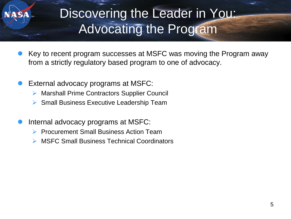## Discovering the Leader in You: Advocating the Program

- Key to recent program successes at MSFC was moving the Program away from a strictly regulatory based program to one of advocacy.
- External advocacy programs at MSFC:
	- ▶ Marshall Prime Contractors Supplier Council
	- $\triangleright$  Small Business Executive Leadership Team
- Internal advocacy programs at MSFC:
	- Procurement Small Business Action Team
	- MSFC Small Business Technical Coordinators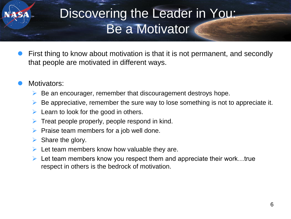### Discovering the Leader in You: Be a Motivator

- First thing to know about motivation is that it is not permanent, and secondly that people are motivated in different ways.
- Motivators:
	- $\triangleright$  Be an encourager, remember that discouragement destroys hope.
	- $\triangleright$  Be appreciative, remember the sure way to lose something is not to appreciate it.
	- $\triangleright$  Learn to look for the good in others.
	- Treat people properly, people respond in kind.
	- $\triangleright$  Praise team members for a job well done.
	- $\triangleright$  Share the glory.
	- $\triangleright$  Let team members know how valuable they are.
	- $\triangleright$  Let team members know you respect them and appreciate their work...true respect in others is the bedrock of motivation.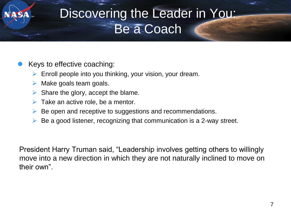#### Discovering the Leader in You: Be a Coach

#### Keys to effective coaching:

- $\triangleright$  Enroll people into you thinking, your vision, your dream.
- $\triangleright$  Make goals team goals.
- $\triangleright$  Share the glory, accept the blame.
- $\triangleright$  Take an active role, be a mentor.
- Be open and receptive to suggestions and recommendations.
- Be a good listener, recognizing that communication is a 2-way street.

President Harry Truman said, "Leadership involves getting others to willingly move into a new direction in which they are not naturally inclined to move on their own".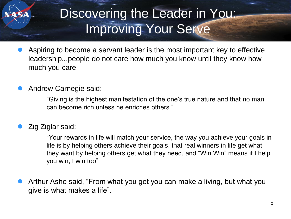## Discovering the Leader in You: Improving Your Serve

 Aspiring to become a servant leader is the most important key to effective leadership...people do not care how much you know until they know how much you care.

#### Andrew Carnegie said:

"Giving is the highest manifestation of the one's true nature and that no man can become rich unless he enriches others."

#### Zig Ziglar said:

"Your rewards in life will match your service, the way you achieve your goals in life is by helping others achieve their goals, that real winners in life get what they want by helping others get what they need, and "Win Win" means if I help you win, I win too"

 Arthur Ashe said, "From what you get you can make a living, but what you give is what makes a life".